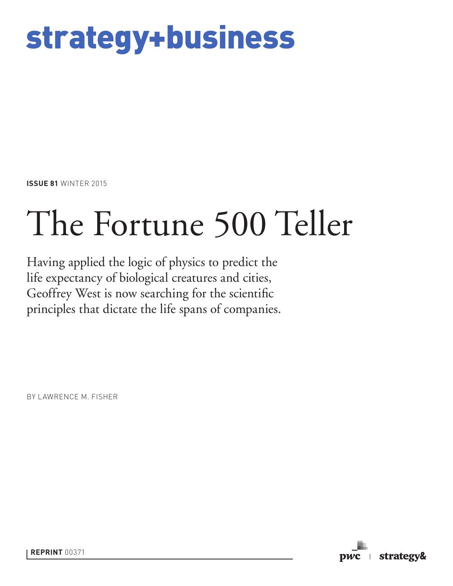# strategy+business

**ISSUE 81** WINTER 2015

# The Fortune 500 Teller

Having applied the logic of physics to predict the life expectancy of biological creatures and cities, Geoffrey West is now searching for the scientific principles that dictate the life spans of companies.

BY LAWRENCE M. FISHER

pwc strategy&

**REPRINT** 00371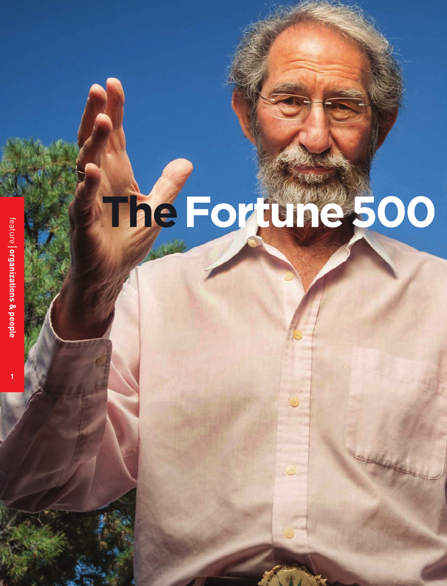# The Fortune 500

**1**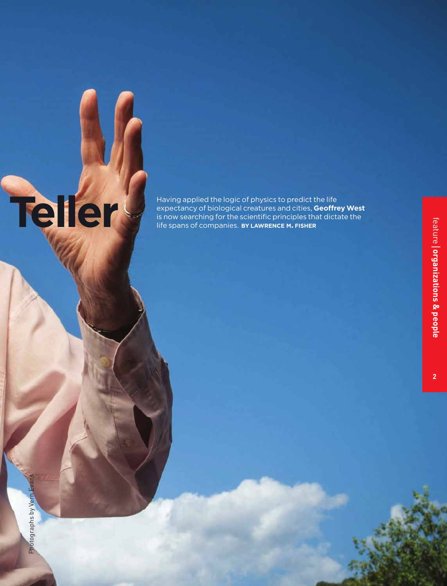## Having applied the logic of physics to predict the life<br>expectancy of biological creatures and cities, Geoffre<br>is now searching for the scientific principles that dict<br>life spans of companies. BY LAWRENCE M. FISHER expectancy of biological creatures and cities, **Geoffrey West** is now searching for the scientific principles that dictate the life spans of companies. **BY LAWRENCE M. FISHER**

**2**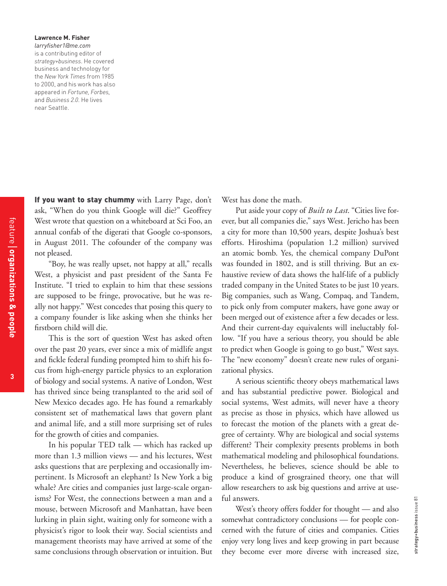### **Lawrence M. Fisher**  *larryfisher1@me.com* is a contributing editor of *strategy+business*. He covered business and technology for the *New York Times* from 1985 to 2000, and his work has also appeared in *Fortune, Forbes,* and *Business 2.0*. He lives near Seattle.

If you want to stay chummy with Larry Page, don't ask, "When do you think Google will die?" Geoffrey West wrote that question on a whiteboard at Sci Foo, an annual confab of the digerati that Google co-sponsors, in August 2011. The cofounder of the company was not pleased.

"Boy, he was really upset, not happy at all," recalls West, a physicist and past president of the Santa Fe Institute. "I tried to explain to him that these sessions are supposed to be fringe, provocative, but he was really not happy." West concedes that posing this query to a company founder is like asking when she thinks her firstborn child will die.

This is the sort of question West has asked often over the past 20 years, ever since a mix of midlife angst and fickle federal funding prompted him to shift his focus from high-energy particle physics to an exploration of biology and social systems. A native of London, West has thrived since being transplanted to the arid soil of New Mexico decades ago. He has found a remarkably consistent set of mathematical laws that govern plant and animal life, and a still more surprising set of rules for the growth of cities and companies.

In his popular TED talk — which has racked up more than 1.3 million views — and his lectures, West asks questions that are perplexing and occasionally impertinent. Is Microsoft an elephant? Is New York a big whale? Are cities and companies just large-scale organisms? For West, the connections between a man and a mouse, between Microsoft and Manhattan, have been lurking in plain sight, waiting only for someone with a physicist's rigor to look their way. Social scientists and management theorists may have arrived at some of the same conclusions through observation or intuition. But West has done the math.

Put aside your copy of *Built to Last*. "Cities live forever, but all companies die," says West. Jericho has been a city for more than 10,500 years, despite Joshua's best efforts. Hiroshima (population 1.2 million) survived an atomic bomb. Yes, the chemical company DuPont was founded in 1802, and is still thriving. But an exhaustive review of data shows the half-life of a publicly traded company in the United States to be just 10 years. Big companies, such as Wang, Compaq, and Tandem, to pick only from computer makers, have gone away or been merged out of existence after a few decades or less. And their current-day equivalents will ineluctably follow. "If you have a serious theory, you should be able to predict when Google is going to go bust," West says. The "new economy" doesn't create new rules of organizational physics.

A serious scientific theory obeys mathematical laws and has substantial predictive power. Biological and social systems, West admits, will never have a theory as precise as those in physics, which have allowed us to forecast the motion of the planets with a great degree of certainty. Why are biological and social systems different? Their complexity presents problems in both mathematical modeling and philosophical foundations. Nevertheless, he believes, science should be able to produce a kind of grosgrained theory, one that will allow researchers to ask big questions and arrive at useful answers.

West's theory offers fodder for thought — and also somewhat contradictory conclusions — for people concerned with the future of cities and companies. Cities enjoy very long lives and keep growing in part because they become ever more diverse with increased size,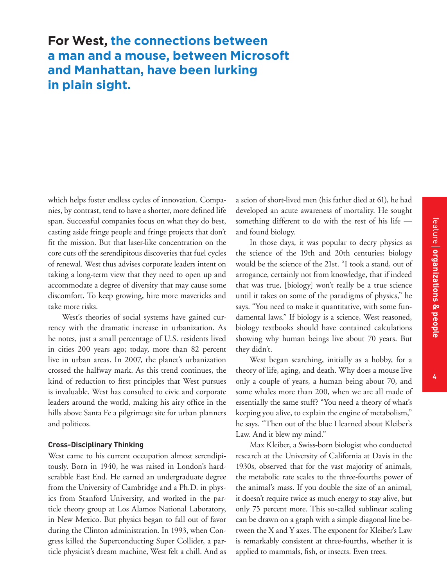# **For West, the connections between a man and a mouse, between Microsoft and Manhattan, have been lurking in plain sight.**

which helps foster endless cycles of innovation. Companies, by contrast, tend to have a shorter, more defined life span. Successful companies focus on what they do best, casting aside fringe people and fringe projects that don't fit the mission. But that laser-like concentration on the core cuts off the serendipitous discoveries that fuel cycles of renewal. West thus advises corporate leaders intent on taking a long-term view that they need to open up and accommodate a degree of diversity that may cause some discomfort. To keep growing, hire more mavericks and take more risks.

West's theories of social systems have gained currency with the dramatic increase in urbanization. As he notes, just a small percentage of U.S. residents lived in cities 200 years ago; today, more than 82 percent live in urban areas. In 2007, the planet's urbanization crossed the halfway mark. As this trend continues, the kind of reduction to first principles that West pursues is invaluable. West has consulted to civic and corporate leaders around the world, making his airy office in the hills above Santa Fe a pilgrimage site for urban planners and politicos.

### **Cross-Disciplinary Thinking**

West came to his current occupation almost serendipitously. Born in 1940, he was raised in London's hardscrabble East End. He earned an undergraduate degree from the University of Cambridge and a Ph.D. in physics from Stanford University, and worked in the particle theory group at Los Alamos National Laboratory, in New Mexico. But physics began to fall out of favor during the Clinton administration. In 1993, when Congress killed the Superconducting Super Collider, a particle physicist's dream machine, West felt a chill. And as a scion of short-lived men (his father died at 61), he had developed an acute awareness of mortality. He sought something different to do with the rest of his life and found biology.

In those days, it was popular to decry physics as the science of the 19th and 20th centuries; biology would be the science of the 21st. "I took a stand, out of arrogance, certainly not from knowledge, that if indeed that was true, [biology] won't really be a true science until it takes on some of the paradigms of physics," he says. "You need to make it quantitative, with some fundamental laws." If biology is a science, West reasoned, biology textbooks should have contained calculations showing why human beings live about 70 years. But they didn't.

West began searching, initially as a hobby, for a theory of life, aging, and death. Why does a mouse live only a couple of years, a human being about 70, and some whales more than 200, when we are all made of essentially the same stuff? "You need a theory of what's keeping you alive, to explain the engine of metabolism," he says. "Then out of the blue I learned about Kleiber's Law. And it blew my mind."

Max Kleiber, a Swiss-born biologist who conducted research at the University of California at Davis in the 1930s, observed that for the vast majority of animals, the metabolic rate scales to the three-fourths power of the animal's mass. If you double the size of an animal, it doesn't require twice as much energy to stay alive, but only 75 percent more. This so-called sublinear scaling can be drawn on a graph with a simple diagonal line between the X and Y axes. The exponent for Kleiber's Law is remarkably consistent at three-fourths, whether it is applied to mammals, fish, or insects. Even trees.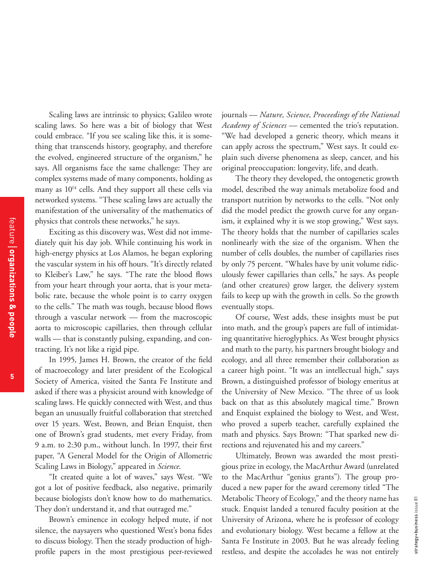**5**

Scaling laws are intrinsic to physics; Galileo wrote scaling laws. So here was a bit of biology that West could embrace. "If you see scaling like this, it is something that transcends history, geography, and therefore the evolved, engineered structure of the organism," he says. All organisms face the same challenge: They are complex systems made of many components, holding as many as  $10^{14}$  cells. And they support all these cells via networked systems. "These scaling laws are actually the manifestation of the universality of the mathematics of physics that controls these networks," he says.

Exciting as this discovery was, West did not immediately quit his day job. While continuing his work in high-energy physics at Los Alamos, he began exploring the vascular system in his off hours. "It's directly related to Kleiber's Law," he says. "The rate the blood flows from your heart through your aorta, that is your metabolic rate, because the whole point is to carry oxygen to the cells." The math was tough, because blood flows through a vascular network — from the macroscopic aorta to microscopic capillaries, then through cellular walls — that is constantly pulsing, expanding, and contracting. It's not like a rigid pipe.

In 1995, James H. Brown, the creator of the field of macroecology and later president of the Ecological Society of America, visited the Santa Fe Institute and asked if there was a physicist around with knowledge of scaling laws. He quickly connected with West, and thus began an unusually fruitful collaboration that stretched over 15 years. West, Brown, and Brian Enquist, then one of Brown's grad students, met every Friday, from 9 a.m. to 2:30 p.m., without lunch. In 1997, their first paper, "A General Model for the Origin of Allometric Scaling Laws in Biology," appeared in *Science*.

"It created quite a lot of waves," says West. "We got a lot of positive feedback, also negative, primarily because biologists don't know how to do mathematics. They don't understand it, and that outraged me."

Brown's eminence in ecology helped mute, if not silence, the naysayers who questioned West's bona fides to discuss biology. Then the steady production of highprofile papers in the most prestigious peer-reviewed journals — *Nature, Science*, *Proceedings of the National Academy of Sciences* — cemented the trio's reputation. "We had developed a generic theory, which means it can apply across the spectrum," West says. It could explain such diverse phenomena as sleep, cancer, and his original preoccupation: longevity, life, and death.

The theory they developed, the ontogenetic growth model, described the way animals metabolize food and transport nutrition by networks to the cells. "Not only did the model predict the growth curve for any organism, it explained why it is we stop growing," West says. The theory holds that the number of capillaries scales nonlinearly with the size of the organism. When the number of cells doubles, the number of capillaries rises by only 75 percent. "Whales have by unit volume ridiculously fewer capillaries than cells," he says. As people (and other creatures) grow larger, the delivery system fails to keep up with the growth in cells. So the growth eventually stops.

Of course, West adds, these insights must be put into math, and the group's papers are full of intimidating quantitative hieroglyphics. As West brought physics and math to the party, his partners brought biology and ecology, and all three remember their collaboration as a career high point. "It was an intellectual high," says Brown, a distinguished professor of biology emeritus at the University of New Mexico. "The three of us look back on that as this absolutely magical time." Brown and Enquist explained the biology to West, and West, who proved a superb teacher, carefully explained the math and physics. Says Brown: "That sparked new directions and rejuvenated his and my careers."

Ultimately, Brown was awarded the most prestigious prize in ecology, the MacArthur Award (unrelated to the MacArthur "genius grants"). The group produced a new paper for the award ceremony titled "The Metabolic Theory of Ecology," and the theory name has stuck. Enquist landed a tenured faculty position at the University of Arizona, where he is professor of ecology and evolutionary biology. West became a fellow at the Santa Fe Institute in 2003. But he was already feeling restless, and despite the accolades he was not entirely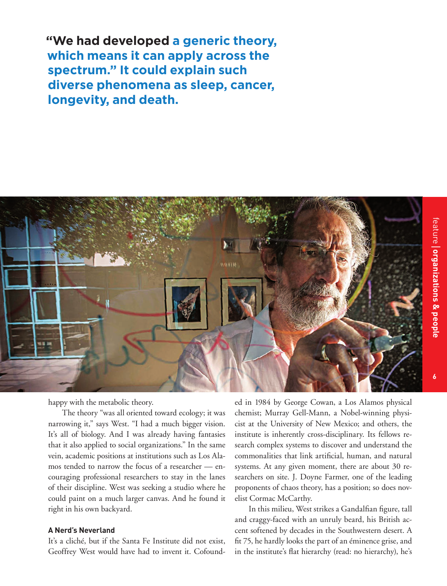**"We had developed a generic theory, which means it can apply across the spectrum." It could explain such diverse phenomena as sleep, cancer, longevity, and death.**



happy with the metabolic theory.

The theory "was all oriented toward ecology; it was narrowing it," says West. "I had a much bigger vision. It's all of biology. And I was already having fantasies that it also applied to social organizations." In the same vein, academic positions at institutions such as Los Alamos tended to narrow the focus of a researcher — encouraging professional researchers to stay in the lanes of their discipline. West was seeking a studio where he could paint on a much larger canvas. And he found it right in his own backyard.

### **A Nerd's Neverland**

It's a cliché, but if the Santa Fe Institute did not exist, Geoffrey West would have had to invent it. Cofound-

ed in 1984 by George Cowan, a Los Alamos physical chemist; Murray Gell-Mann, a Nobel-winning physicist at the University of New Mexico; and others, the institute is inherently cross-disciplinary. Its fellows research complex systems to discover and understand the commonalities that link artificial, human, and natural systems. At any given moment, there are about 30 researchers on site. J. Doyne Farmer, one of the leading proponents of chaos theory, has a position; so does novelist Cormac McCarthy.

In this milieu, West strikes a Gandalfian figure, tall and craggy-faced with an unruly beard, his British accent softened by decades in the Southwestern desert. A fit 75, he hardly looks the part of an éminence grise, and in the institute's flat hierarchy (read: no hierarchy), he's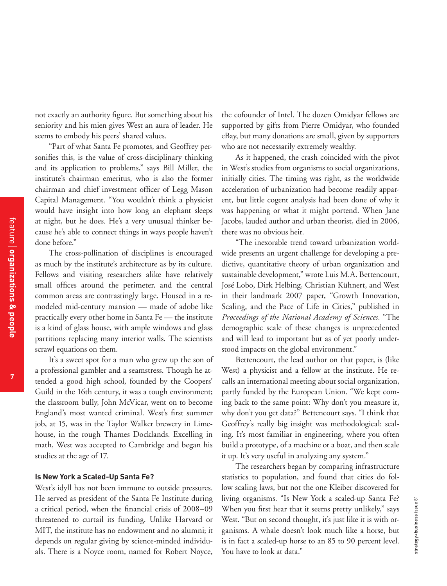not exactly an authority figure. But something about his seniority and his mien gives West an aura of leader. He seems to embody his peers' shared values.

"Part of what Santa Fe promotes, and Geoffrey personifies this, is the value of cross-disciplinary thinking and its application to problems," says Bill Miller, the institute's chairman emeritus, who is also the former chairman and chief investment officer of Legg Mason Capital Management. "You wouldn't think a physicist would have insight into how long an elephant sleeps at night, but he does. He's a very unusual thinker because he's able to connect things in ways people haven't done before."

The cross-pollination of disciplines is encouraged as much by the institute's architecture as by its culture. Fellows and visiting researchers alike have relatively small offices around the perimeter, and the central common areas are contrastingly large. Housed in a remodeled mid-century mansion — made of adobe like practically every other home in Santa Fe — the institute is a kind of glass house, with ample windows and glass partitions replacing many interior walls. The scientists scrawl equations on them.

It's a sweet spot for a man who grew up the son of a professional gambler and a seamstress. Though he attended a good high school, founded by the Coopers' Guild in the 16th century, it was a tough environment; the classroom bully, John McVicar, went on to become England's most wanted criminal. West's first summer job, at 15, was in the Taylor Walker brewery in Limehouse, in the rough Thames Docklands. Excelling in math, West was accepted to Cambridge and began his studies at the age of 17.

### **Is New York a Scaled-Up Santa Fe?**

West's idyll has not been immune to outside pressures. He served as president of the Santa Fe Institute during a critical period, when the financial crisis of 2008–09 threatened to curtail its funding. Unlike Harvard or MIT, the institute has no endowment and no alumni; it depends on regular giving by science-minded individuals. There is a Noyce room, named for Robert Noyce,

the cofounder of Intel. The dozen Omidyar fellows are supported by gifts from Pierre Omidyar, who founded eBay, but many donations are small, given by supporters who are not necessarily extremely wealthy.

As it happened, the crash coincided with the pivot in West's studies from organisms to social organizations, initially cities. The timing was right, as the worldwide acceleration of urbanization had become readily apparent, but little cogent analysis had been done of why it was happening or what it might portend. When Jane Jacobs, lauded author and urban theorist, died in 2006, there was no obvious heir.

"The inexorable trend toward urbanization worldwide presents an urgent challenge for developing a predictive, quantitative theory of urban organization and sustainable development," wrote Luis M.A. Bettencourt, José Lobo, Dirk Helbing, Christian Kühnert, and West in their landmark 2007 paper, "Growth Innovation, Scaling, and the Pace of Life in Cities," published in *Proceedings of the National Academy of Sciences.* "The demographic scale of these changes is unprecedented and will lead to important but as of yet poorly understood impacts on the global environment."

Bettencourt, the lead author on that paper, is (like West) a physicist and a fellow at the institute. He recalls an international meeting about social organization, partly funded by the European Union. "We kept coming back to the same point: Why don't you measure it, why don't you get data?" Bettencourt says. "I think that Geoffrey's really big insight was methodological: scaling. It's most familiar in engineering, where you often build a prototype, of a machine or a boat, and then scale it up. It's very useful in analyzing any system."

The researchers began by comparing infrastructure statistics to population, and found that cities do follow scaling laws, but not the one Kleiber discovered for living organisms. "Is New York a scaled-up Santa Fe? When you first hear that it seems pretty unlikely," says West. "But on second thought, it's just like it is with organisms. A whale doesn't look much like a horse, but is in fact a scaled-up horse to an 85 to 90 percent level. You have to look at data."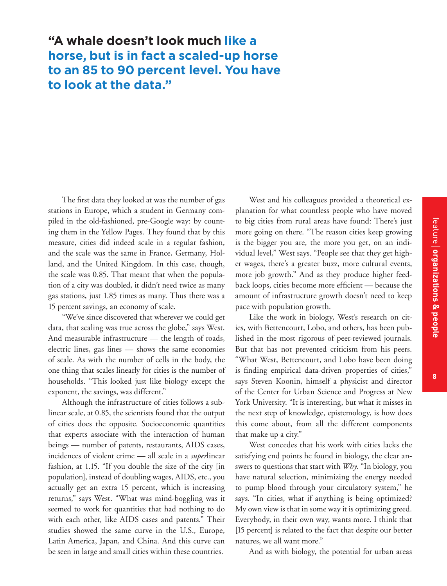**8**

# **"A whale doesn't look much like a horse, but is in fact a scaled-up horse to an 85 to 90 percent level. You have to look at the data."**

The first data they looked at was the number of gas stations in Europe, which a student in Germany compiled in the old-fashioned, pre-Google way: by counting them in the Yellow Pages. They found that by this measure, cities did indeed scale in a regular fashion, and the scale was the same in France, Germany, Holland, and the United Kingdom. In this case, though, the scale was 0.85. That meant that when the population of a city was doubled, it didn't need twice as many gas stations, just 1.85 times as many. Thus there was a 15 percent savings, an economy of scale.

"We've since discovered that wherever we could get data, that scaling was true across the globe," says West. And measurable infrastructure — the length of roads, electric lines, gas lines — shows the same economies of scale. As with the number of cells in the body, the one thing that scales linearly for cities is the number of households. "This looked just like biology except the exponent, the savings, was different."

Although the infrastructure of cities follows a sublinear scale, at 0.85, the scientists found that the output of cities does the opposite. Socioeconomic quantities that experts associate with the interaction of human beings — number of patents, restaurants, AIDS cases, incidences of violent crime — all scale in a *super*linear fashion, at 1.15. "If you double the size of the city [in population], instead of doubling wages, AIDS, etc., you actually get an extra 15 percent, which is increasing returns," says West. "What was mind-boggling was it seemed to work for quantities that had nothing to do with each other, like AIDS cases and patents." Their studies showed the same curve in the U.S., Europe, Latin America, Japan, and China. And this curve can be seen in large and small cities within these countries.

West and his colleagues provided a theoretical explanation for what countless people who have moved to big cities from rural areas have found: There's just more going on there. "The reason cities keep growing is the bigger you are, the more you get, on an individual level," West says. "People see that they get higher wages, there's a greater buzz, more cultural events, more job growth." And as they produce higher feedback loops, cities become more efficient — because the amount of infrastructure growth doesn't need to keep pace with population growth.

Like the work in biology, West's research on cities, with Bettencourt, Lobo, and others, has been published in the most rigorous of peer-reviewed journals. But that has not prevented criticism from his peers. "What West, Bettencourt, and Lobo have been doing is finding empirical data-driven properties of cities," says Steven Koonin, himself a physicist and director of the Center for Urban Science and Progress at New York University. "It is interesting, but what it misses in the next step of knowledge, epistemology, is how does this come about, from all the different components that make up a city."

West concedes that his work with cities lacks the satisfying end points he found in biology, the clear answers to questions that start with *Why.* "In biology, you have natural selection, minimizing the energy needed to pump blood through your circulatory system," he says. "In cities, what if anything is being optimized? My own view is that in some way it is optimizing greed. Everybody, in their own way, wants more. I think that [15 percent] is related to the fact that despite our better natures, we all want more."

And as with biology, the potential for urban areas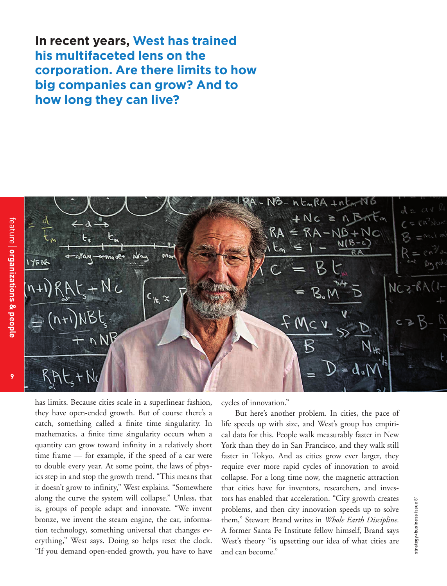**In recent years, West has trained his multifaceted lens on the corporation. Are there limits to how big companies can grow? And to how long they can live?**

**9**



has limits. Because cities scale in a superlinear fashion, they have open-ended growth. But of course there's a catch, something called a finite time singularity. In mathematics, a finite time singularity occurs when a quantity can grow toward infinity in a relatively short time frame — for example, if the speed of a car were to double every year. At some point, the laws of physics step in and stop the growth trend. "This means that it doesn't grow to infinity," West explains. "Somewhere along the curve the system will collapse." Unless, that is, groups of people adapt and innovate. "We invent bronze, we invent the steam engine, the car, information technology, something universal that changes everything," West says. Doing so helps reset the clock. "If you demand open-ended growth, you have to have

cycles of innovation."

But here's another problem. In cities, the pace of life speeds up with size, and West's group has empirical data for this. People walk measurably faster in New York than they do in San Francisco, and they walk still faster in Tokyo. And as cities grow ever larger, they require ever more rapid cycles of innovation to avoid collapse. For a long time now, the magnetic attraction that cities have for inventors, researchers, and investors has enabled that acceleration. "City growth creates problems, and then city innovation speeds up to solve them," Stewart Brand writes in *Whole Earth Discipline.*  A former Santa Fe Institute fellow himself, Brand says West's theory "is upsetting our idea of what cities are and can become."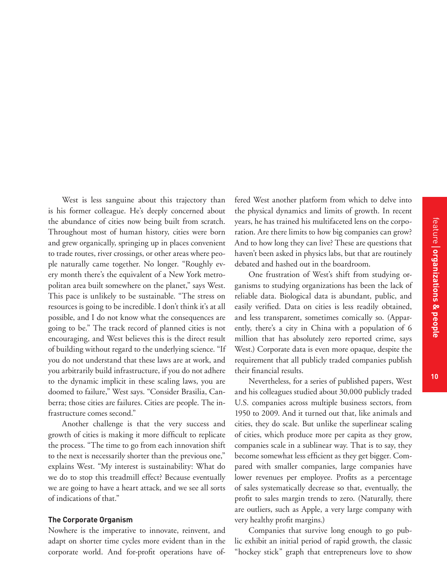West is less sanguine about this trajectory than is his former colleague. He's deeply concerned about the abundance of cities now being built from scratch. Throughout most of human history, cities were born and grew organically, springing up in places convenient to trade routes, river crossings, or other areas where people naturally came together. No longer. "Roughly every month there's the equivalent of a New York metropolitan area built somewhere on the planet," says West. This pace is unlikely to be sustainable. "The stress on resources is going to be incredible. I don't think it's at all possible, and I do not know what the consequences are going to be." The track record of planned cities is not encouraging, and West believes this is the direct result of building without regard to the underlying science. "If you do not understand that these laws are at work, and you arbitrarily build infrastructure, if you do not adhere to the dynamic implicit in these scaling laws, you are doomed to failure," West says. "Consider Brasilia, Canberra; those cities are failures. Cities are people. The infrastructure comes second."

Another challenge is that the very success and growth of cities is making it more difficult to replicate the process. "The time to go from each innovation shift to the next is necessarily shorter than the previous one," explains West. "My interest is sustainability: What do we do to stop this treadmill effect? Because eventually we are going to have a heart attack, and we see all sorts of indications of that."

### **The Corporate Organism**

Nowhere is the imperative to innovate, reinvent, and adapt on shorter time cycles more evident than in the corporate world. And for-profit operations have offered West another platform from which to delve into the physical dynamics and limits of growth. In recent years, he has trained his multifaceted lens on the corporation. Are there limits to how big companies can grow? And to how long they can live? These are questions that haven't been asked in physics labs, but that are routinely debated and hashed out in the boardroom.

One frustration of West's shift from studying organisms to studying organizations has been the lack of reliable data. Biological data is abundant, public, and easily verified. Data on cities is less readily obtained, and less transparent, sometimes comically so. (Apparently, there's a city in China with a population of 6 million that has absolutely zero reported crime, says West.) Corporate data is even more opaque, despite the requirement that all publicly traded companies publish their financial results.

Nevertheless, for a series of published papers, West and his colleagues studied about 30,000 publicly traded U.S. companies across multiple business sectors, from 1950 to 2009. And it turned out that, like animals and cities, they do scale. But unlike the superlinear scaling of cities, which produce more per capita as they grow, companies scale in a sublinear way. That is to say, they become somewhat less efficient as they get bigger. Compared with smaller companies, large companies have lower revenues per employee. Profits as a percentage of sales systematically decrease so that, eventually, the profit to sales margin trends to zero. (Naturally, there are outliers, such as Apple, a very large company with very healthy profit margins.)

Companies that survive long enough to go public exhibit an initial period of rapid growth, the classic "hockey stick" graph that entrepreneurs love to show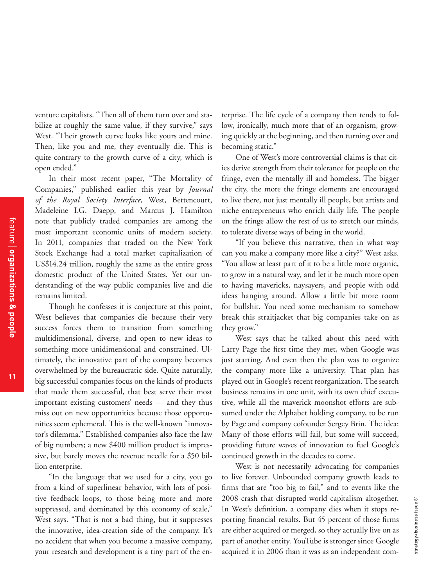venture capitalists. "Then all of them turn over and stabilize at roughly the same value, if they survive," says West. "Their growth curve looks like yours and mine. Then, like you and me, they eventually die. This is quite contrary to the growth curve of a city, which is open ended."

In their most recent paper, "The Mortality of Companies," published earlier this year by *Journal of the Royal Society Interface,* West, Bettencourt, Madeleine I.G. Daepp, and Marcus J. Hamilton note that publicly traded companies are among the most important economic units of modern society. In 2011, companies that traded on the New York Stock Exchange had a total market capitalization of US\$14.24 trillion, roughly the same as the entire gross domestic product of the United States. Yet our understanding of the way public companies live and die remains limited.

Though he confesses it is conjecture at this point, West believes that companies die because their very success forces them to transition from something multidimensional, diverse, and open to new ideas to something more unidimensional and constrained. Ultimately, the innovative part of the company becomes overwhelmed by the bureaucratic side. Quite naturally, big successful companies focus on the kinds of products that made them successful, that best serve their most important existing customers' needs — and they thus miss out on new opportunities because those opportunities seem ephemeral. This is the well-known "innovator's dilemma." Established companies also face the law of big numbers; a new \$400 million product is impressive, but barely moves the revenue needle for a \$50 billion enterprise.

"In the language that we used for a city, you go from a kind of superlinear behavior, with lots of positive feedback loops, to those being more and more suppressed, and dominated by this economy of scale," West says. "That is not a bad thing, but it suppresses the innovative, idea-creation side of the company. It's no accident that when you become a massive company, your research and development is a tiny part of the enterprise. The life cycle of a company then tends to follow, ironically, much more that of an organism, growing quickly at the beginning, and then turning over and becoming static."

One of West's more controversial claims is that cities derive strength from their tolerance for people on the fringe, even the mentally ill and homeless. The bigger the city, the more the fringe elements are encouraged to live there, not just mentally ill people, but artists and niche entrepreneurs who enrich daily life. The people on the fringe allow the rest of us to stretch our minds, to tolerate diverse ways of being in the world.

"If you believe this narrative, then in what way can you make a company more like a city?" West asks. "You allow at least part of it to be a little more organic, to grow in a natural way, and let it be much more open to having mavericks, naysayers, and people with odd ideas hanging around. Allow a little bit more room for bullshit. You need some mechanism to somehow break this straitjacket that big companies take on as they grow."

West says that he talked about this need with Larry Page the first time they met, when Google was just starting. And even then the plan was to organize the company more like a university. That plan has played out in Google's recent reorganization. The search business remains in one unit, with its own chief executive, while all the maverick moonshot efforts are subsumed under the Alphabet holding company, to be run by Page and company cofounder Sergey Brin. The idea: Many of those efforts will fail, but some will succeed, providing future waves of innovation to fuel Google's continued growth in the decades to come.

West is not necessarily advocating for companies to live forever. Unbounded company growth leads to firms that are "too big to fail," and to events like the 2008 crash that disrupted world capitalism altogether. In West's definition, a company dies when it stops reporting financial results. But 45 percent of those firms are either acquired or merged, so they actually live on as part of another entity. YouTube is stronger since Google acquired it in 2006 than it was as an independent com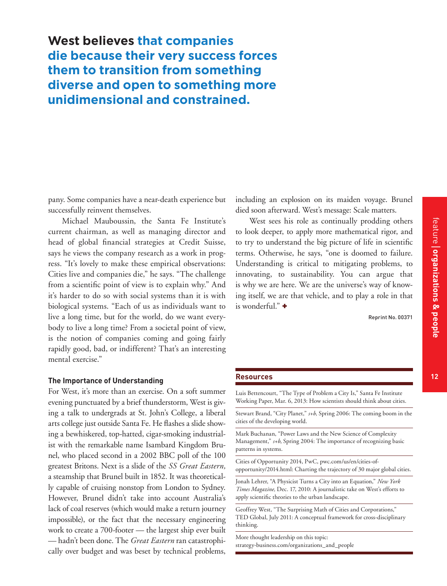pany. Some companies have a near-death experience but successfully reinvent themselves.

Michael Mauboussin, the Santa Fe Institute's current chairman, as well as managing director and head of global financial strategies at Credit Suisse, says he views the company research as a work in progress. "It's lovely to make these empirical observations: Cities live and companies die," he says. "The challenge from a scientific point of view is to explain why." And it's harder to do so with social systems than it is with biological systems. "Each of us as individuals want to live a long time, but for the world, do we want everybody to live a long time? From a societal point of view, is the notion of companies coming and going fairly rapidly good, bad, or indifferent? That's an interesting mental exercise."

### **The Importance of Understanding**

For West, it's more than an exercise. On a soft summer evening punctuated by a brief thunderstorm, West is giving a talk to undergrads at St. John's College, a liberal arts college just outside Santa Fe. He flashes a slide showing a bewhiskered, top-hatted, cigar-smoking industrialist with the remarkable name Isambard Kingdom Brunel, who placed second in a 2002 BBC poll of the 100 greatest Britons. Next is a slide of the *SS Great Eastern,* a steamship that Brunel built in 1852. It was theoretically capable of cruising nonstop from London to Sydney. However, Brunel didn't take into account Australia's lack of coal reserves (which would make a return journey impossible), or the fact that the necessary engineering work to create a 700-footer — the largest ship ever built — hadn't been done. The *Great Eastern* ran catastrophically over budget and was beset by technical problems, including an explosion on its maiden voyage. Brunel died soon afterward. West's message: Scale matters.

West sees his role as continually prodding others to look deeper, to apply more mathematical rigor, and to try to understand the big picture of life in scientific terms. Otherwise, he says, "one is doomed to failure. Understanding is critical to mitigating problems, to innovating, to sustainability. You can argue that is why we are here. We are the universe's way of knowing itself, we are that vehicle, and to play a role in that is wonderful." +

Reprint No. 00371

feature | organizations & people

### **Resources 12**

Luis Bettencourt, "The Type of Problem a City Is," Santa Fe Institute Working Paper, Mar. 6, 2013: How scientists should think about cities.

Stewart Brand, "City Planet," *s+b,* Spring 2006: The coming boom in the cities of the developing world.

Mark Buchanan, "Power Laws and the New Science of Complexity Management," *s+b*, Spring 2004: The importance of recognizing basic patterns in systems.

Cities of Opportunity 2014, PwC, pwc.com/us/en/cities-ofopportunity/2014.html: Charting the trajectory of 30 major global cities.

Jonah Lehrer, "A Physicist Turns a City into an Equation," *New York Times Magazine,* Dec. 17, 2010: A journalistic take on West's efforts to apply scientific theories to the urban landscape.

Geoffrey West, "The Surprising Math of Cities and Corporations," TED Global, July 2011: A conceptual framework for cross-disciplinary thinking.

More thought leadership on this topic: strategy-business.com/organizations\_and\_people